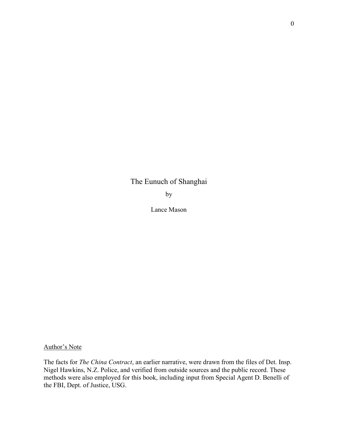The Eunuch of Shanghai

by

Lance Mason

Author's Note

The facts for The China Contract, an earlier narrative, were drawn from the files of Det. Insp. Nigel Hawkins, N.Z. Police, and verified from outside sources and the public record. These methods were also employed for this book, including input from Special Agent D. Benelli of the FBI, Dept. of Justice, USG.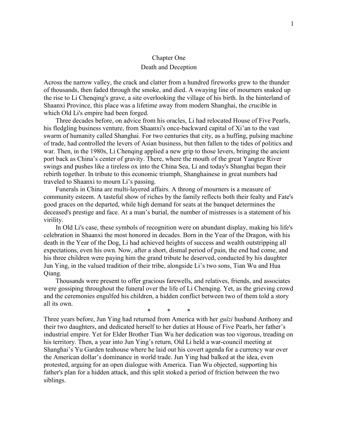## Chapter One Death and Deception

Across the narrow valley, the crack and clatter from a hundred fireworks grew to the thunder of thousands, then faded through the smoke, and died. A swaying line of mourners snaked up the rise to Li Chenqing's grave, a site overlooking the village of his birth. In the hinterland of Shaanxi Province, this place was a lifetime away from modern Shanghai, the crucible in which Old Li's empire had been forged.

Three decades before, on advice from his oracles, Li had relocated House of Five Pearls, his fledgling business venture, from Shaanxi's once-backward capital of Xi'an to the vast swarm of humanity called Shanghai. For two centuries that city, as a huffing, pulsing machine of trade, had controlled the levers of Asian business, but then fallen to the tides of politics and war. Then, in the 1980s, Li Chenqing applied a new grip to those levers, bringing the ancient port back as China's center of gravity. There, where the mouth of the great Yangtze River swings and pushes like a tireless ox into the China Sea, Li and today's Shanghai began their rebirth together. In tribute to this economic triumph, Shanghainese in great numbers had traveled to Shaanxi to mourn Li's passing.

Funerals in China are multi-layered affairs. A throng of mourners is a measure of community esteem. A tasteful show of riches by the family reflects both their fealty and Fate's good graces on the departed, while high demand for seats at the banquet determines the deceased's prestige and face. At a man's burial, the number of mistresses is a statement of his virility.

In Old Li's case, these symbols of recognition were on abundant display, making his life's celebration in Shaanxi the most honored in decades. Born in the Year of the Dragon, with his death in the Year of the Dog, Li had achieved heights of success and wealth outstripping all expectations, even his own. Now, after a short, dismal period of pain, the end had come, and his three children were paying him the grand tribute he deserved, conducted by his daughter Jun Ying, in the valued tradition of their tribe, alongside Li's two sons, Tian Wu and Hua Qiang.

Thousands were present to offer gracious farewells, and relatives, friends, and associates were gossiping throughout the funeral over the life of Li Chenqing. Yet, as the grieving crowd and the ceremonies engulfed his children, a hidden conflict between two of them told a story all its own.

\* \* \*

Three years before, Jun Ying had returned from America with her *guizi* husband Anthony and their two daughters, and dedicated herself to her duties at House of Five Pearls, her father's industrial empire. Yet for Elder Brother Tian Wu her dedication was too vigorous, treading on his territory. Then, a year into Jun Ying's return, Old Li held a war-council meeting at Shanghai's Yu Garden teahouse where he laid out his covert agenda for a currency war over the American dollar's dominance in world trade. Jun Ying had balked at the idea, even protested, arguing for an open dialogue with America. Tian Wu objected, supporting his father's plan for a hidden attack, and this split stoked a period of friction between the two siblings.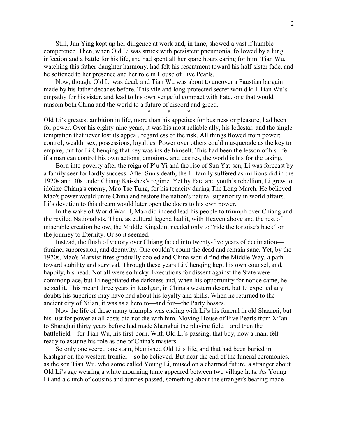Still, Jun Ying kept up her diligence at work and, in time, showed a vast if humble competence. Then, when Old Li was struck with persistent pneumonia, followed by a lung infection and a battle for his life, she had spent all her spare hours caring for him. Tian Wu, watching this father-daughter harmony, had felt his resentment toward his half-sister fade, and he softened to her presence and her role in House of Five Pearls.

Now, though, Old Li was dead, and Tian Wu was about to uncover a Faustian bargain made by his father decades before. This vile and long-protected secret would kill Tian Wu's empathy for his sister, and lead to his own vengeful compact with Fate, one that would ransom both China and the world to a future of discord and greed.

\* \* \*

Old Li's greatest ambition in life, more than his appetites for business or pleasure, had been for power. Over his eighty-nine years, it was his most reliable ally, his lodestar, and the single temptation that never lost its appeal, regardless of the risk. All things flowed from power: control, wealth, sex, possessions, loyalties. Power over others could masquerade as the key to empire, but for Li Chenqing that key was inside himself. This had been the lesson of his life if a man can control his own actions, emotions, and desires, the world is his for the taking.

Born into poverty after the reign of P'u Yi and the rise of Sun Yat-sen, Li was forecast by a family seer for lordly success. After Sun's death, the Li family suffered as millions did in the 1920s and '30s under Chiang Kai-shek's regime. Yet by Fate and youth's rebellion, Li grew to idolize Chiang's enemy, Mao Tse Tung, for his tenacity during The Long March. He believed Mao's power would unite China and restore the nation's natural superiority in world affairs. Li's devotion to this dream would later open the doors to his own power.

In the wake of World War II, Mao did indeed lead his people to triumph over Chiang and the reviled Nationalists. Then, as cultural legend had it, with Heaven above and the rest of miserable creation below, the Middle Kingdom needed only to "ride the tortoise's back" on the journey to Eternity. Or so it seemed.

Instead, the flush of victory over Chiang faded into twenty-five years of decimation famine, suppression, and depravity. One couldn't count the dead and remain sane. Yet, by the 1970s, Mao's Marxist fires gradually cooled and China would find the Middle Way, a path toward stability and survival. Through these years Li Chenqing kept his own counsel, and, happily, his head. Not all were so lucky. Executions for dissent against the State were commonplace, but Li negotiated the darkness and, when his opportunity for notice came, he seized it. This meant three years in Kashgar, in China's western desert, but Li expelled any doubts his superiors may have had about his loyalty and skills. When he returned to the ancient city of Xi'an, it was as a hero to—and for—the Party bosses.

Now the life of these many triumphs was ending with Li's his funeral in old Shaanxi, but his lust for power at all costs did not die with him. Moving House of Five Pearls from Xi'an to Shanghai thirty years before had made Shanghai the playing field—and then the battlefield—for Tian Wu, his first-born. With Old Li's passing, that boy, now a man, felt ready to assume his role as one of China's masters.

So only one secret, one stain, blemished Old Li's life, and that had been buried in Kashgar on the western frontier—so he believed. But near the end of the funeral ceremonies, as the son Tian Wu, who some called Young Li, mused on a charmed future, a stranger about Old Li's age wearing a white mourning tunic appeared between two village huts. As Young Li and a clutch of cousins and aunties passed, something about the stranger's bearing made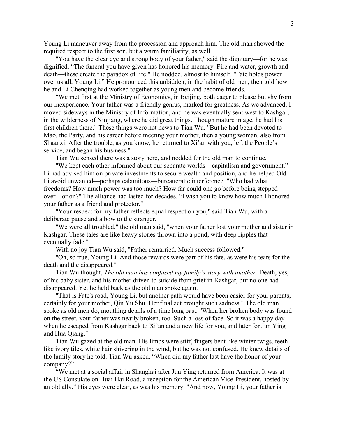Young Li maneuver away from the procession and approach him. The old man showed the required respect to the first son, but a warm familiarity, as well.

"You have the clear eye and strong body of your father," said the dignitary—for he was dignified. "The funeral you have given has honored his memory. Fire and water, growth and death—these create the paradox of life." He nodded, almost to himself. "Fate holds power over us all, Young Li." He pronounced this unbidden, in the habit of old men, then told how he and Li Chenqing had worked together as young men and become friends.

"We met first at the Ministry of Economics, in Beijing, both eager to please but shy from our inexperience. Your father was a friendly genius, marked for greatness. As we advanced, I moved sideways in the Ministry of Information, and he was eventually sent west to Kashgar, in the wilderness of Xinjiang, where he did great things. Though mature in age, he had his first children there." These things were not news to Tian Wu. "But he had been devoted to Mao, the Party, and his career before meeting your mother, then a young woman, also from Shaanxi. After the trouble, as you know, he returned to Xi'an with you, left the People's service, and began his business."

Tian Wu sensed there was a story here, and nodded for the old man to continue.

"We kept each other informed about our separate worlds—capitalism and government." Li had advised him on private investments to secure wealth and position, and he helped Old Li avoid unwanted—perhaps calamitous—bureaucratic interference. "Who had what freedoms? How much power was too much? How far could one go before being stepped over—or on?" The alliance had lasted for decades. "I wish you to know how much I honored your father as a friend and protector."

"Your respect for my father reflects equal respect on you," said Tian Wu, with a deliberate pause and a bow to the stranger.

"We were all troubled," the old man said, "when your father lost your mother and sister in Kashgar. These tales are like heavy stones thrown into a pond, with deep ripples that eventually fade."

With no joy Tian Wu said, "Father remarried. Much success followed."

"Oh, so true, Young Li. And those rewards were part of his fate, as were his tears for the death and the disappeared."

Tian Wu thought, The old man has confused my family's story with another. Death, yes, of his baby sister, and his mother driven to suicide from grief in Kashgar, but no one had disappeared. Yet he held back as the old man spoke again.

"That is Fate's road, Young Li, but another path would have been easier for your parents, certainly for your mother, Qin Yu Shu. Her final act brought such sadness." The old man spoke as old men do, mouthing details of a time long past. "When her broken body was found on the street, your father was nearly broken, too. Such a loss of face. So it was a happy day when he escaped from Kashgar back to Xi'an and a new life for you, and later for Jun Ying and Hua Qiang."

Tian Wu gazed at the old man. His limbs were stiff, fingers bent like winter twigs, teeth like ivory tiles, white hair shivering in the wind, but he was not confused. He knew details of the family story he told. Tian Wu asked, "When did my father last have the honor of your company?"

"We met at a social affair in Shanghai after Jun Ying returned from America. It was at the US Consulate on Huai Hai Road, a reception for the American Vice-President, hosted by an old ally." His eyes were clear, as was his memory. "And now, Young Li, your father is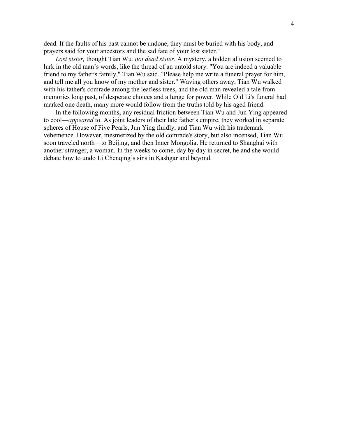dead. If the faults of his past cannot be undone, they must be buried with his body, and prayers said for your ancestors and the sad fate of your lost sister."

Lost sister, thought Tian Wu, not dead sister. A mystery, a hidden allusion seemed to lurk in the old man's words, like the thread of an untold story. "You are indeed a valuable friend to my father's family," Tian Wu said. "Please help me write a funeral prayer for him, and tell me all you know of my mother and sister." Waving others away, Tian Wu walked with his father's comrade among the leafless trees, and the old man revealed a tale from memories long past, of desperate choices and a lunge for power. While Old Li's funeral had marked one death, many more would follow from the truths told by his aged friend.

In the following months, any residual friction between Tian Wu and Jun Ying appeared to cool—appeared to. As joint leaders of their late father's empire, they worked in separate spheres of House of Five Pearls, Jun Ying fluidly, and Tian Wu with his trademark vehemence. However, mesmerized by the old comrade's story, but also incensed, Tian Wu soon traveled north—to Beijing, and then Inner Mongolia. He returned to Shanghai with another stranger, a woman. In the weeks to come, day by day in secret, he and she would debate how to undo Li Chenqing's sins in Kashgar and beyond.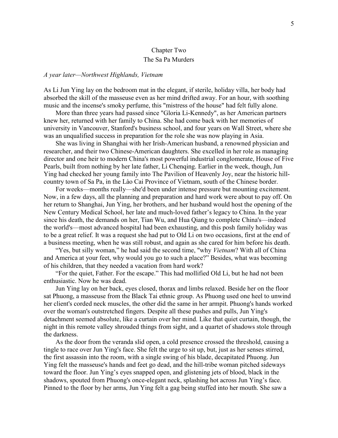## Chapter Two The Sa Pa Murders

## A year later—Northwest Highlands, Vietnam

As Li Jun Ying lay on the bedroom mat in the elegant, if sterile, holiday villa, her body had absorbed the skill of the masseuse even as her mind drifted away. For an hour, with soothing music and the incense's smoky perfume, this "mistress of the house" had felt fully alone.

More than three years had passed since "Gloria Li-Kennedy", as her American partners knew her, returned with her family to China. She had come back with her memories of university in Vancouver, Stanford's business school, and four years on Wall Street, where she was an unqualified success in preparation for the role she was now playing in Asia.

She was living in Shanghai with her Irish-American husband, a renowned physician and researcher, and their two Chinese-American daughters. She excelled in her role as managing director and one heir to modern China's most powerful industrial conglomerate, House of Five Pearls, built from nothing by her late father, Li Chenqing. Earlier in the week, though, Jun Ying had checked her young family into The Pavilion of Heavenly Joy, near the historic hillcountry town of Sa Pa, in the Lào Cai Province of Vietnam, south of the Chinese border.

For weeks—months really—she'd been under intense pressure but mounting excitement. Now, in a few days, all the planning and preparation and hard work were about to pay off. On her return to Shanghai, Jun Ying, her brothers, and her husband would host the opening of the New Century Medical School, her late and much-loved father's legacy to China. In the year since his death, the demands on her, Tian Wu, and Hua Qiang to complete China's—indeed the world's—most advanced hospital had been exhausting, and this posh family holiday was to be a great relief. It was a request she had put to Old Li on two occasions, first at the end of a business meeting, when he was still robust, and again as she cared for him before his death.

"Yes, but silly woman," he had said the second time, "why *Vietnam*? With all of China and America at your feet, why would you go to such a place?" Besides, what was becoming of his children, that they needed a vacation from hard work?

"For the quiet, Father. For the escape." This had mollified Old Li, but he had not been enthusiastic. Now he was dead.

Jun Ying lay on her back, eyes closed, thorax and limbs relaxed. Beside her on the floor sat Phuong, a masseuse from the Black Tai ethnic group. As Phuong used one heel to unwind her client's corded neck muscles, the other did the same in her armpit. Phuong's hands worked over the woman's outstretched fingers. Despite all these pushes and pulls, Jun Ying's detachment seemed absolute, like a curtain over her mind. Like that quiet curtain, though, the night in this remote valley shrouded things from sight, and a quartet of shadows stole through the darkness.

As the door from the veranda slid open, a cold presence crossed the threshold, causing a tingle to race over Jun Ying's face. She felt the urge to sit up, but, just as her senses stirred, the first assassin into the room, with a single swing of his blade, decapitated Phuong. Jun Ying felt the masseuse's hands and feet go dead, and the hill-tribe woman pitched sideways toward the floor. Jun Ying's eyes snapped open, and glistening jets of blood, black in the shadows, spouted from Phuong's once-elegant neck, splashing hot across Jun Ying's face. Pinned to the floor by her arms, Jun Ying felt a gag being stuffed into her mouth. She saw a